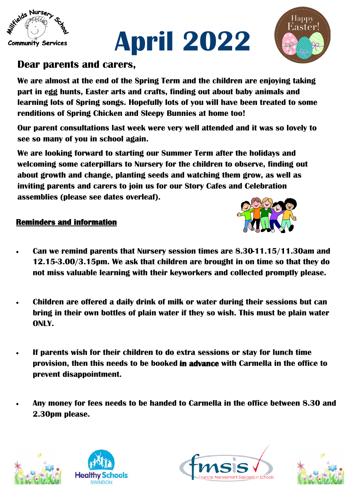

## **Dear parents and carers,**

**We are almost at the end of the Spring Term and the children are enjoying taking part in egg hunts, Easter arts and crafts, finding out about baby animals and learning lots of Spring songs. Hopefully lots of you will have been treated to some renditions of Spring Chicken and Sleepy Bunnies at home too!**

**April 2022**

**Our parent consultations last week were very well attended and it was so lovely to see so many of you in school again.** 

**We are looking forward to starting our Summer Term after the holidays and welcoming some caterpillars to Nursery for the children to observe, finding out about growth and change, planting seeds and watching them grow, as well as inviting parents and carers to join us for our Story Cafes and Celebration assemblies (please see dates overleaf).** 

## **Reminders and information**

- **Can we remind parents that Nursery session times are 8.30-11.15/11.30am and 12.15-3.00/3.15pm. We ask that children are brought in on time so that they do not miss valuable learning with their keyworkers and collected promptly please.**
- **Children are offered a daily drink of milk or water during their sessions but can bring in their own bottles of plain water if they so wish. This must be plain water ONLY.**
- **If parents wish for their children to do extra sessions or stay for lunch time provision, then this needs to be booked in advance with Carmella in the office to prevent disappointment.**
- **Any money for fees needs to be handed to Carmella in the office between 8.30 and 2.30pm please.**